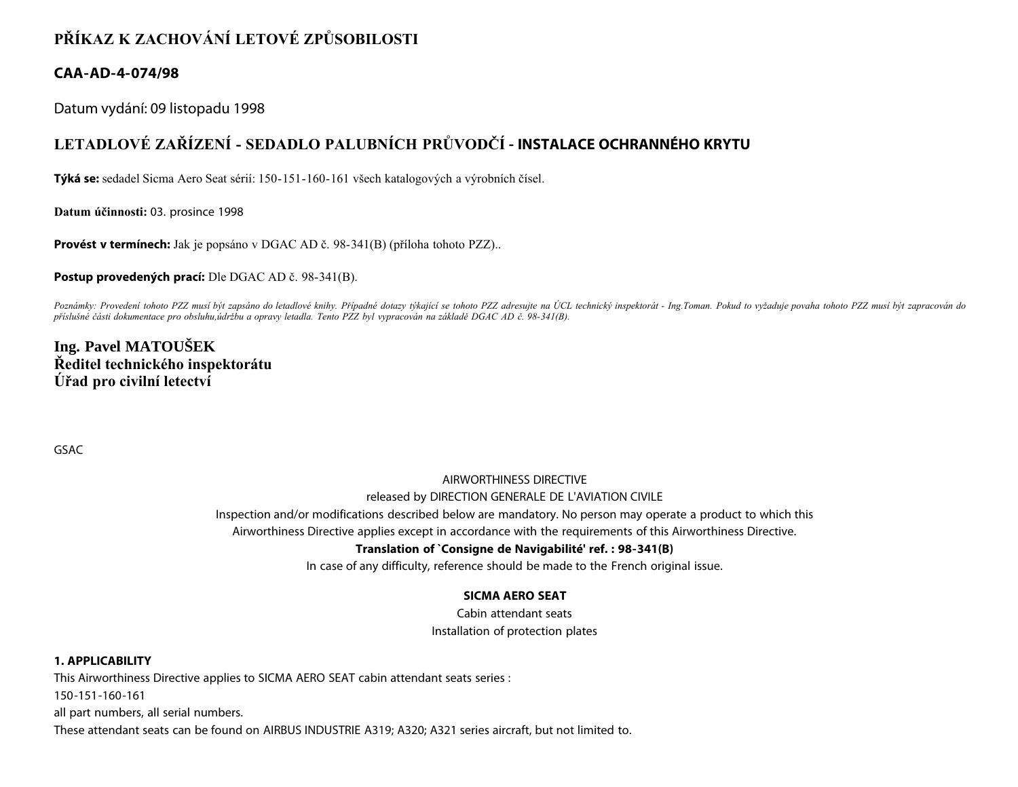## **PŘÍKAZ K ZACHOVÁNÍ LETOVÉ ZPŮSOBILOSTI**

### **CAA-AD-4-074/98**

Datum vydání: 09 listopadu 1998

# **LETADLOVÉ ZAŘÍZENÍ - SEDADLO PALUBNÍCH PRŮVODČÍ - INSTALACE OCHRANNÉHO KRYTU**

**Týká se:** sedadel Sicma Aero Seat sérií: 150-151-160-161 všech katalogových a výrobních čísel.

**Datum účinnosti:** 03. prosince 1998

**Provést v termínech:** Jak je popsáno v DGAC AD č. 98-341(B) (příloha tohoto PZZ)..

**Postup provedených prací:** Dle DGAC AD č. 98-341(B).

*Poznámky: Provedení tohoto PZZ musí být zapsáno do letadlové knihy. Případné dotazy týkající se tohoto PZZ adresujte na ÚCL technický inspektorát - Ing.Toman. Pokud to vyžaduje povaha tohoto PZZ musí být zapracován do příslušné části dokumentace pro obsluhu,údržbu a opravy letadla. Tento PZZ byl vypracován na základě DGAC AD č. 98-341(B).*

## **Ing. Pavel MATOUŠEK Ředitel technického inspektorátu Úřad pro civilní letectví**

GSAC

# AIRWORTHINESS DIRECTIVE released by DIRECTION GENERALE DE L'AVIATION CIVILE

Inspection and/or modifications described below are mandatory. No person may operate a product to which this

Airworthiness Directive applies except in accordance with the requirements of this Airworthiness Directive.

#### **Translation of `Consigne de Navigabilité' ref. : 98-341(B)**

In case of any difficulty, reference should be made to the French original issue.

#### **SICMA AERO SEAT**

Cabin attendant seats Installation of protection plates

#### **1. APPLICABILITY**

This Airworthiness Directive applies to SICMA AERO SEAT cabin attendant seats series :

150-151-160-161

all part numbers, all serial numbers.

These attendant seats can be found on AIRBUS INDUSTRIE A319; A320; A321 series aircraft, but not limited to.